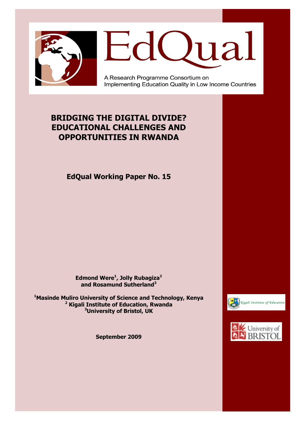



A Research Programme Consortium on Implementing Education Quality in Low Income Countries

# **BRIDGING THE DIGITAL DIVIDE? EDUCATIONAL CHALLENGES AND OPPORTUNITIES IN RWANDA**

**EdQual Working Paper No. 15**

**Edmond Were<sup>1</sup> , Jolly Rubagiza<sup>2</sup> and Rosamund Sutherland<sup>3</sup>**

**<sup>1</sup>Masinde Muliro University of Science and Technology, Kenya <sup>2</sup> Kigali Institute of Education, Rwanda <sup>3</sup>University of Bristol, UK**

**September 2009**



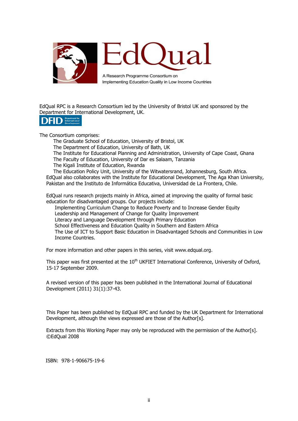

EdQual RPC is a Research Consortium led by the University of Bristol UK and sponsored by the Department for International Development, UK.



The Consortium comprises:

The Graduate School of Education, University of Bristol, UK

The Department of Education, University of Bath, UK

The Institute for Educational Planning and Administration, University of Cape Coast, Ghana The Faculty of Education, University of Dar es Salaam, Tanzania

The Kigali Institute of Education, Rwanda

The Education Policy Unit, University of the Witwatersrand, Johannesburg, South Africa. EdQual also collaborates with the Institute for Educational Development, The Aga Khan University, Pakistan and the Instituto de Informática Educativa, Universidad de La Frontera, Chile.

EdQual runs research projects mainly in Africa, aimed at improving the quality of formal basic education for disadvantaged groups. Our projects include:

Implementing Curriculum Change to Reduce Poverty and to Increase Gender Equity Leadership and Management of Change for Quality Improvement

Literacy and Language Development through Primary Education

School Effectiveness and Education Quality in Southern and Eastern Africa

The Use of ICT to Support Basic Education in Disadvantaged Schools and Communities in Low Income Countries.

For more information and other papers in this series, visit www.edqual.org.

This paper was first presented at the 10<sup>th</sup> UKFIET International Conference, University of Oxford, 15-17 September 2009.

A revised version of this paper has been published in the International Journal of Educational Development (2011) 31(1):37-43.

This Paper has been published by EdQual RPC and funded by the UK Department for International Development, although the views expressed are those of the Author[s].

Extracts from this Working Paper may only be reproduced with the permission of the Author[s]. ©EdQual 2008

ISBN: 978-1-906675-19-6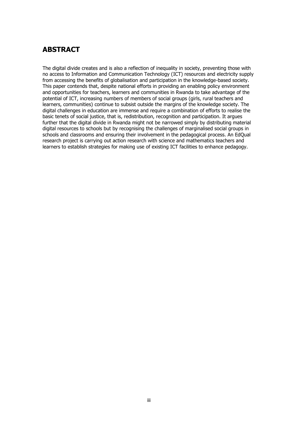### **ABSTRACT**

The digital divide creates and is also a reflection of inequality in society, preventing those with no access to Information and Communication Technology (ICT) resources and electricity supply from accessing the benefits of globalisation and participation in the knowledge-based society. This paper contends that, despite national efforts in providing an enabling policy environment and opportunities for teachers, learners and communities in Rwanda to take advantage of the potential of ICT, increasing numbers of members of social groups (girls, rural teachers and learners, communities) continue to subsist outside the margins of the knowledge society. The digital challenges in education are immense and require a combination of efforts to realise the basic tenets of social justice, that is, redistribution, recognition and participation. It argues further that the digital divide in Rwanda might not be narrowed simply by distributing material digital resources to schools but by recognising the challenges of marginalised social groups in schools and classrooms and ensuring their involvement in the pedagogical process. An EdQual research project is carrying out action research with science and mathematics teachers and learners to establish strategies for making use of existing ICT facilities to enhance pedagogy.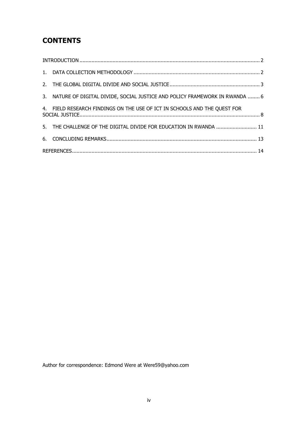# **CONTENTS**

| 3. NATURE OF DIGITAL DIVIDE, SOCIAL JUSTICE AND POLICY FRAMEWORK IN RWANDA  6 |  |
|-------------------------------------------------------------------------------|--|
| 4. FIELD RESEARCH FINDINGS ON THE USE OF ICT IN SCHOOLS AND THE QUEST FOR     |  |
| 5. THE CHALLENGE OF THE DIGITAL DIVIDE FOR EDUCATION IN RWANDA  11            |  |
|                                                                               |  |
|                                                                               |  |

Author for correspondence: Edmond Were at Were59@yahoo.com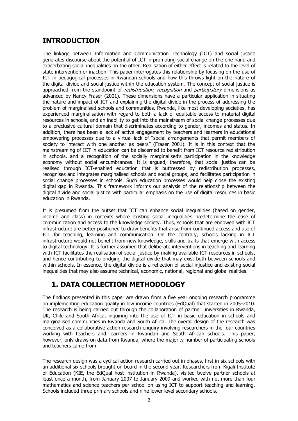# <span id="page-4-0"></span>**INTRODUCTION**

The linkage between Information and Communication Technology (ICT) and social justice generates discourse about the potential of ICT in promoting social change on the one hand and exacerbating social inequalities on the other. Realisation of either effect is related to the level of state intervention or inaction. This paper interrogates this relationship by focusing on the use of ICT in pedagogical processes in Rwandan schools and how this throws light on the nature of the digital divide and social justice within the education system. The concept of social justice is approached from the standpoint of *redistribution, recognition* and *participatory* dimensions as advanced by Nancy Fraser (2001). These dimensions have a particular application in situating the nature and impact of ICT and explaining the digital divide in the process of addressing the problem of marginalised schools and communities. Rwanda, like most developing societies, has experienced marginalisation with regard to both a lack of equitable access to material digital resources in schools, and an inability to get into the mainstream of social change processes due to a preclusive cultural domain that discriminates according to gender, incomes and status. In addition, there has been a lack of active engagement by teachers and learners in educational empowering processes due to a virtual lack of "social arrangements that permit members of society to interact with one another as peers" (Fraser 2001). It is in this context that the mainstreaming of ICT in education can be discerned to benefit from ICT resource redistribution in schools, and a recognition of the socially marginalised"s participation in the knowledge economy without social encumbrances. It is argued, therefore, that social justice can be realised through ICT-enabled education that is buttressed by redistribution processes, recognises and integrates marginalised schools and social groups, and facilitates participation in social change processes in schools. Such education processes would help close the existing digital gap in Rwanda. This framework informs our analysis of the relationship between the digital divide and social justice with particular emphasis on the use of digital resources in basic education in Rwanda.

It is presumed from the outset that ICT can enhance social inequalities (based on gender, income and class) in contexts where existing social inequalities predetermine the ease of communication and access to the knowledge society. Thus, schools that are endowed with ICT infrastructure are better positioned to draw benefits that arise from continued access and use of ICT for teaching, learning and communication. On the contrary, schools lacking in ICT infrastructure would not benefit from new knowledge, skills and traits that emerge with access to digital technology. It is further assumed that deliberate interventions in teaching and learning with ICT facilitates the realisation of social justice by making available ICT resources in schools, and hence contributing to bridging the digital divide that may exist both between schools and within schools. In essence, the digital divide is a reflection of social injustice and existing social inequalities that may also assume technical, economic, national, regional and global realities.

# <span id="page-4-1"></span>**1. DATA COLLECTION METHODOLOGY**

The findings presented in this paper are drawn from a five year ongoing research programme on implementing education quality in low income countries (EdQual) that started in 2005-2010. The research is being carried out through the collaboration of partner universities in Rwanda, UK, Chile and South Africa, inquiring into the use of ICT in basic education in schools and marginalised communities in Rwanda and South Africa. The overall design of the research was conceived as a collaborative action research enquiry involving researchers in the four countries working with teachers and learners in Rwandan and South African schools. This paper, however, only draws on data from Rwanda, where the majority number of participating schools and teachers came from.

The research design was a cyclical action research carried out in phases, first in six schools with an additional six schools brought on board in the second year. Researchers from Kigali Institute of Education (KIE, the EdQual host institution in Rwanda), visited twelve partner schools at least once a month, from January 2007 to January 2009 and worked with not more than four mathematics and science teachers per school on using ICT to support teaching and learning. Schools included three primary schools and nine lower level secondary schools.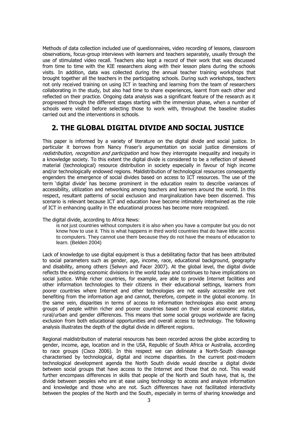Methods of data collection included use of questionnaires, video recording of lessons, classroom observations, focus-group interviews with learners and teachers separately, usually through the use of stimulated video recall. Teachers also kept a record of their work that was discussed from time to time with the KIE researchers along with their lesson plans during the schools visits. In addition, data was collected during the annual teacher training workshops that brought together all the teachers in the participating schools. During such workshops, teachers not only received training on using ICT in teaching and learning from the team of researchers collaborating in the study, but also had time to share experiences, learnt from each other and reflected on their practice. Ongoing data analysis was a significant feature of the research as it progressed through the different stages starting with the immersion phase, when a number of schools were visited before selecting those to work with, throughout the baseline studies carried out and the interventions in schools.

#### <span id="page-5-0"></span>**2. THE GLOBAL DIGITAL DIVIDE AND SOCIAL JUSTICE**

This paper is informed by a variety of literature on the digital divide and social justice. In particular it borrows from Nancy Fraser"s argumentation on social justice dimensions of redistribution, recognition and participation and how they interrogate inequality and inequity in a knowledge society. To this extent the digital divide is considered to be a reflection of skewed material (technological) resource distribution in society especially in favour of high income and/or technologically endowed regions. Maldistribution of technological resources consequently engenders the emergence of social divides based on access to ICT resources. The use of the term "digital divide" has become prominent in the education realm to describe variances of accessibility, utilization and networking among teachers and learners around the world. In this respect, resultant patterns of social exclusion and marginalization have been discerned. This scenario is relevant because ICT and education have become intimately intertwined as the role of ICT in enhancing quality in the educational process has become more recognized.

The digital divide, according to Africa News:

is not just countries without computers it is also when you have a computer but you do not know how to use it. This is what happens in third world countries that do have little access to computers. They cannot use them because they do not have the means of education to learn. (Belden 2004)

Lack of knowledge to use digital equipment is thus a debilitating factor that has been attributed to social parameters such as gender, age, income, race, educational background, geography and disability, among others (Selwyn and Facer 2007). At the global level, the digital divide reflects the existing economic divisions in the world today and continues to have implications on social justice. While richer countries, for example, are able to provide Internet facilities and other information technologies to their citizens in their educational settings, learners from poorer countries where Internet and other technologies are not easily accessible are not benefiting from the information age and cannot, therefore, compete in the global economy. In the same vein, disparities in terms of access to information technologies also exist among groups of people within richer and poorer countries based on their social economic status, rural/urban and gender differences. This means that some social groups worldwide are facing exclusion from both educational opportunities and overall access to technology. The following analysis illustrates the depth of the digital divide in different regions.

Regional maldistribution of material resources has been recorded across the globe according to gender, income, age, location and in the USA, Republic of South Africa or Australia, according to race groups (Cisco 2006). In this respect we can delineate a North-South cleavage characterised by technological, digital and income disparities. In the current post-modern technological development agenda the North South divide would describe a digital divide between social groups that have access to the Internet and those that do not. This would further encompass differences in skills that people of the North and South have, that is, the divide between peoples who are at ease using technology to access and analyze information and knowledge and those who are not. Such differences have not facilitated interactivity between the peoples of the North and the South, especially in terms of sharing knowledge and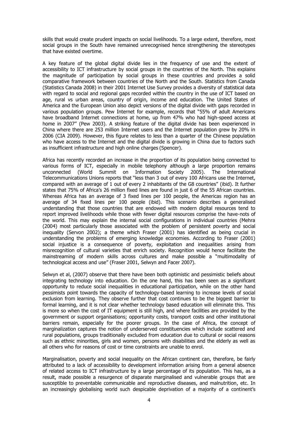skills that would create prudent impacts on social livelihoods. To a large extent, therefore, most social groups in the South have remained unrecognised hence strengthening the stereotypes that have existed overtime.

A key feature of the global digital divide lies in the frequency of use and the extent of accessibility to ICT infrastructure by social groups in the countries of the North. This explains the magnitude of participation by social groups in these countries and provides a solid comparative framework between countries of the North and the South. Statistics from Canada (Statistics Canada 2008) in their 2001 Internet Use Survey provides a diversity of statistical data with regard to social and regional gaps recorded within the country in the use of ICT based on age, rural vs urban areas, country of origin, income and education. The United States of America and the European Union also depict versions of the digital divide with gaps recorded in various population groups. Pew Internet for example, records that "55% of adult Americans have broadband Internet connections at home, up from 47% who had high-speed access at home in 2007" (Pew 2003). A striking feature of the digital divide has been experienced in China where there are 253 million Internet users and the Internet population grew by 20% in 2006 (CIA 2009). However, this figure relates to less than a quarter of the Chinese population who have access to the Internet and the digital divide is growing in China due to factors such as insufficient infrastructure and high online charges (Spencer).

Africa has recently recorded an increase in the proportion of its population being connected to various forms of ICT, especially in mobile telephony although a large proportion remains unconnected (World Summit on Information Society 2005). The International Telecommunications Unions reports that "less than 3 out of every 100 Africans use the Internet, compared with an average of 1 out of every 2 inhabitants of the G8 countries" (ibid). It further states that 75% of Africa"s 26 million fixed lines are found in just 6 of the 55 African countries. Whereas Africa has an average of 3 fixed lines per 100 people, the Americas region has an average of 34 fixed lines per 100 people (ibid). This scenario describes a generalised understanding that those countries that are endowed with modern digital resources tend to report improved livelihoods while those with fewer digital resources comprise the have-nots of the world. This may explain the internal social configurations in individual countries (Mehra (2004) most particularly those associated with the problem of persistent poverty and social inequality (Servon 2002); a theme which Fraser (2001) has identified as being crucial in understanding the problems of emerging knowledge economies. According to Fraser (2001) social injustice is a consequence of poverty, exploitation and inequalities arising from misrecognition of cultural varieties that enrich society. Recognition would hence facilitate the mainstreaming of modern skills across cultures and make possible a "multimodality of technological access and use" (Fraser 2001, Selwyn and Facer 2007).

Selwyn et al, (2007) observe that there have been both optimistic and pessimistic beliefs about integrating technology into education. On the one hand, this has been seen as a significant opportunity to reduce social inequalities in educational participation, while on the other hand pessimists point towards the capacity of technology-based learning to increase levels of social exclusion from learning. They observe further that cost continues to be the biggest barrier to formal learning, and it is not clear whether technology based education will eliminate this. This is more so when the cost of IT equipment is still high, and where facilities are provided by the government or support organisations; opportunity costs, transport costs and other institutional barriers remain, especially for the poorer groups. In the case of Africa, the concept of marginalization captures the notion of underserved constituencies which include scattered and rural populations, groups traditionally excluded from education due to cultural or social reasons such as ethnic minorities, girls and women, persons with disabilities and the elderly as well as all others who for reasons of cost or time constraints are unable to enrol.

Marginalisation, poverty and social inequality on the African continent can, therefore, be fairly attributed to a lack of accessibility to development information arising from a general absence of related access to ICT infrastructure by a large percentage of its population. This has, as a result, made possible a resurgence of disparate marginalised and vulnerable groups that are susceptible to preventable communicable and reproductive diseases, and malnutrition, etc. In an increasingly globalising world such despicable deprivation of a majority of a continent"s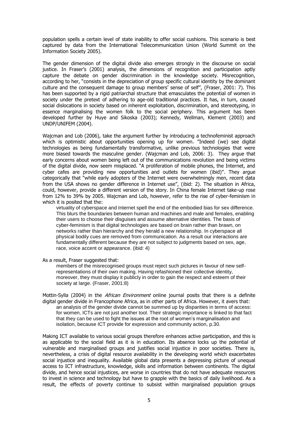population spells a certain level of state inability to offer social cushions. This scenario is best captured by data from the International Telecommunication Union (World Summit on the Information Society 2005).

The gender dimension of the digital divide also emerges strongly in the discourse on social justice. In Fraser"s (2001) analysis, the dimensions of recognition and participation aptly capture the debate on gender discrimination in the knowledge society. Misrecognition, according to her, "consists in the depreciation of group specific cultural identity by the dominant culture and the consequent damage to group members' sense of self", (Fraser, 2001: 7). This has been supported by a rigid patriarchal structure that emasculates the potential of women in society under the pretext of adhering to age-old traditional practices. It has, in turn, caused social dislocations in society based on inherent exploitation, discrimination, and stereotyping, in essence marginalising the women folk to the social periphery. This argument has been developed further by Huye and Sikoska (2003); Kennedy, Wellman, Klement (2003) and UNDP/UNIFEM (2004).

Wajcman and Lob (2006), take the argument further by introducing a technofeminist approach which is optimistic about opportunities opening up for women. "Indeed (we) see digital technologies as being fundamentally transformative, unlike previous technologies that were more biased towards the masculine gender. (Wajcman and Lob, 2006: 3). They argue that early concerns about women being left out of the communications revolution and being victims of the digital divide, now seem misplaced. "A proliferation of mobile phones, the Internet, and cyber cafes are providing new opportunities and outlets for women (ibid)". They argue categorically that "while early adopters of the Internet were overwhelmingly men, recent data from the USA shows no gender difference in Internet use", (ibid: 2). The situation in Africa, could, however, provide a different version of the story. In China female Internet take-up rose from 12% to 39% by 2005. Wajcman and Lob, however, refer to the rise of cyber-feminism in which it is posited that the:

virtuality of cyberspace and Internet spell the end of the embodied bias for sex difference. This blurs the boundaries between human and machines and male and females, enabling their users to choose their disguises and assume alternative identities. The basis of cyber-feminism is that digital technologies are based on brain rather than brawn, on networks rather than hierarchy and they herald a new relationship. In cyberspace all physical bodily cues are removed from communication. As a result our interactions are fundamentally different because they are not subject to judgments based on sex, age, race, voice accent or appearance. (ibid: 4)

As a result, Fraser suggested that:

members of the misrecognised groups must reject such pictures in favour of new selfrepresentations of their own making. Having refashioned their collective identity, moreover, they must display it publicly in order to gain the respect and esteem of their society at large. (Fraser, 2001:8)

Mottin-Sylla (2004) in the *African Environment* online journal posits that there is a definite digital gender divide in Francophone Africa, as in other parts of Africa. However, it avers that: an analysis of the gender divide cannot be summed up by disparities in terms of access: for women, ICTs are not just another tool. Their strategic importance is linked to that fact that they can be used to fight the issues at the root of women's marginalisation and isolation, because ICT provide for expression and community action, p.30.

Making ICT available to various social groups therefore enhances active participation, and this is as applicable to the social field as it is in education. Its absence locks up the potential of vulnerable and marginalised groups and justifies social injustice in poor societies. There is, nevertheless, a crisis of digital resource availability in the developing world which exacerbates social injustice and inequality. Available global data presents a depressing picture of unequal access to ICT infrastructure, knowledge, skills and information between continents. The digital divide, and hence social injustices, are worse in countries that do not have adequate resources to invest in science and technology but have to grapple with the basics of daily livelihood. As a result, the effects of poverty continue to subsist within marginalised population groups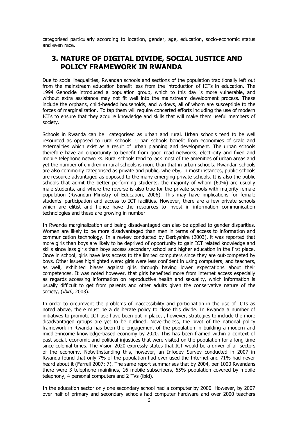categorised particularly according to location, gender, age, education, socio-economic status and even race.

#### <span id="page-8-0"></span>**3. NATURE OF DIGITAL DIVIDE, SOCIAL JUSTICE AND POLICY FRAMEWORK IN RWANDA**

Due to social inequalities, Rwandan schools and sections of the population traditionally left out from the mainstream education benefit less from the introduction of ICTs in education. The 1994 Genocide introduced a population group, which to this day is more vulnerable, and without extra assistance may not fit well into the mainstream development process. These include the orphans, child-headed households, and widows, all of whom are susceptible to the forces of marginalization. To tap them will require concerted efforts including the use of modern ICTs to ensure that they acquire knowledge and skills that will make them useful members of society.

Schools in Rwanda can be categorised as urban and rural. Urban schools tend to be well resourced as opposed to rural schools. Urban schools benefit from economies of scale and externalities which exist as a result of urban planning and development. The urban schools therefore have an opportunity to benefit from good road networks, electricity and fixed and mobile telephone networks. Rural schools tend to lack most of the amenities of urban areas and yet the number of children in rural schools is more than that in urban schools. Rwandan schools are also commonly categorised as private and public, whereby, in most instances, public schools are resource advantaged as opposed to the many emerging private schools. It is also the public schools that admit the better performing students, the majority of whom (60%) are usually male students, and where the reverse is also true for the private schools with majority female population (Rwandan Ministry of Education, 2006). This may have implications for female students" participation and access to ICT facilities. However, there are a few private schools which are elitist and hence have the resources to invest in information communication technologies and these are growing in number.

In Rwanda marginalization and being disadvantaged can also be applied to gender disparities. Women are likely to be more disadvantaged than men in terms of access to information and communication technology. In a review conducted by Derbyshire (2003), it was reported that more girls than boys are likely to be deprived of opportunity to gain ICT related knowledge and skills since less girls than boys access secondary school and higher education in the first place. Once in school, girls have less access to the limited computers since they are out-competed by boys. Other issues highlighted were: girls were less confident in using computers, and teachers, as well, exhibited biases against girls through having lower expectations about their competences. It was noted however, that girls benefited more from internet access especially as regards accessing information on reproductive health and sexuality, which information is usually difficult to get from parents and other adults given the conservative nature of the society, (ibid., 2003).

In order to circumvent the problems of inaccessibility and participation in the use of ICTs as noted above, there must be a deliberate policy to close this divide. In Rwanda a number of initiatives to promote ICT use have been put in place, , however, strategies to include the more disadvantaged groups are yet to be outlined. Nevertheless, the pivot of the national policy framework in Rwanda has been the engagement of the population in building a modern and middle-income knowledge-based economy by 2020. This has been framed within a context of past social, economic and political injustices that were visited on the population for a long time since colonial times. The Vision 2020 expressly states that ICT would be a driver of all sectors of the economy. Notwithstanding this, however, an Infodev Survey conducted in 2007 in Rwanda found that only 7% of the population had ever used the Internet and 71% had never heard about it (Farrell 2007: 7). The same report summarises that by 2004, per 1000 Rwandans there were 3 telephone mainlines, 16 mobile subscribers, 65% population covered by mobile telephony, 4 personal computers and 2 TVs (ibid).

In the education sector only one secondary school had a computer by 2000. However, by 2007 over half of primary and secondary schools had computer hardware and over 2000 teachers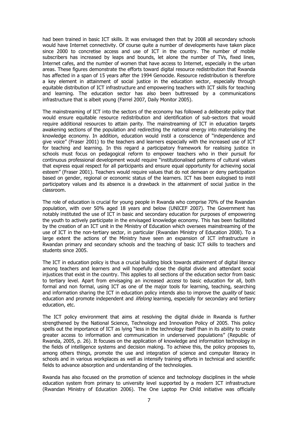had been trained in basic ICT skills. It was envisaged then that by 2008 all secondary schools would have Internet connectivity. Of course quite a number of developments have taken place since 2000 to concretise access and use of ICT in the country. The number of mobile subscribers has increased by leaps and bounds, let alone the number of TVs, fixed lines, Internet cafes, and the number of women that have access to Internet, especially in the urban areas. These figures demonstrate the efforts toward digital resource redistribution that Rwanda has affected in a span of 15 years after the 1994 Genocide. Resource redistribution is therefore a key element in attainment of social justice in the education sector, especially through equitable distribution of ICT infrastructure and empowering teachers with ICT skills for teaching and learning. The education sector has also been buttressed by a communications infrastructure that is albeit young (Farrel 2007, Daily Monitor 2005).

The mainstreaming of ICT into the sectors of the economy has followed a deliberate policy that would ensure equitable resource redistribution and identification of sub-sectors that would require additional resources to attain parity. The mainstreaming of ICT in education targets awakening sections of the population and redirecting the national energy into materialising the knowledge economy. In addition, education would instil a conscience of "independence and give voice" (Fraser 2001) to the teachers and learners especially with the increased use of ICT for teaching and learning. In this regard a participatory framework for realising justice in schools must focus on pedagogical reform to empower teachers who in their pursuit for continuous professional development would require "institutionalised patterns of cultural values that express equal respect for all participants and ensure equal opportunity for achieving social esteem" (Fraser 2001). Teachers would require values that do not demean or deny participation based on gender, regional or economic status of the learners. ICT has been eulogised to instil participatory values and its absence is a drawback in the attainment of social justice in the classroom.

The role of education is crucial for young people in Rwanda who comprise 70% of the Rwandan population, with over 50% aged 18 years and below (UNICEF 2007). The Government has notably instituted the use of ICT in basic and secondary education for purposes of empowering the youth to actively participate in the envisaged knowledge economy. This has been facilitated by the creation of an ICT unit in the Ministry of Education which oversees mainstreaming of the use of ICT in the non-tertiary sector, in particular (Rwandan Ministry of Education 2008). To a large extent the actions of the Ministry have seen an expansion of ICT infrastructure in Rwandan primary and secondary schools and the teaching of basic ICT skills to teachers and students since 2005.

The ICT in education policy is thus a crucial building block towards attainment of digital literacy among teachers and learners and will hopefully close the digital divide and attendant social injustices that exist in the country. This applies to all sections of the education sector from basic to tertiary level. Apart from envisaging an increased *access* to basic education for all, both formal and non formal, using ICT as one of the major tools for learning, teaching, searching and information sharing the ICT in education policy intends also to improve the quality of basic education and promote independent and *lifelong* learning, especially for secondary and tertiary education, etc.

The ICT policy environment that aims at resolving the digital divide in Rwanda is further strengthened by the National Science, Technology and Innovation Policy of 2005. This policy spells out the importance of ICT as lying "less in the technology itself than in its ability to create greater access to information and communication in underserved populations" (Republic of Rwanda, 2005, p. 26). It focuses on the application of knowledge and information technology in the fields of intelligence systems and decision making. To achieve this, the policy proposes to, among others things, promote the use and integration of science and computer literacy in schools and in various workplaces as well as intensify training efforts in technical and scientific fields to advance absorption and understanding of the technologies.

Rwanda has also focused on the promotion of science and technology disciplines in the whole education system from primary to university level supported by a modern ICT infrastructure (Rwandan Ministry of Education 2006). The One Laptop Per Child initiative was officially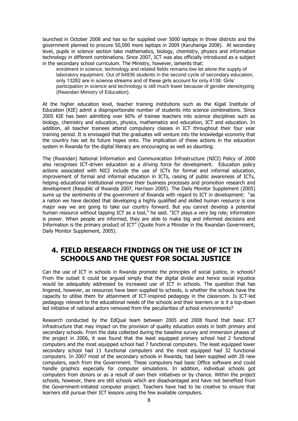launched in October 2008 and has so far supplied over 5000 laptops in three districts and the government planned to procure 50,000 more laptops in 2009 (Karuhanga 2008). At secondary level, pupils in science section take mathematics, biology, chemistry, physics and information technology in different combinations. Since 2007, ICT was also officially introduced as a subject in the secondary school curriculum. The Ministry, however, laments that:

enrolment in science, technology and related fields remains low let alone the supply of laboratory equipment. Out of 64936 students in the second cycle of secondary education, only 13282 are in science streams and of these girls account for only 4138. Girls' participation in science and technology is still much lower because of gender stereotyping (Rwandan Ministry of Education).

At the higher education level, teacher training institutions such as the Kigali Institute of Education (KIE) admit a disproportionate number of students into science combinations. Since 2005 KIE has been admitting over 60% of trainee teachers into science disciplines such as biology, chemistry and education, physics, mathematics and education, ICT and education. In addition, all teacher trainees attend compulsory classes in ICT throughout their four year training period. It is envisaged that the graduates will venture into the knowledge economy that the country has set its future hopes onto. The implication of these actions in the education system in Rwanda for the digital literacy are encouraging as well as daunting.

The (Rwandan) National Information and Communication Infrastructure (NICI) Policy of 2000 also recognises ICT-driven education as a driving force for development. Education policy actions associated with NICI include the use of ICTs for formal and informal education, improvement of formal and informal education in ICTs, raising of public awareness of ICTs, helping educational institutional improve their business processes and promotion research and development (Republic of Rwanda 2007, Harrison 2005). The Daily Monitor Supplement (2005) sums up the sentiments of the government of Rwanda with regard to ICT in development: "as a nation we have decided that developing a highly qualified and skilled human resource is one major way we are going to take our country forward. But you cannot develop a potential human resource without tapping ICT as a tool," he said. "ICT plays a very big role; information is power. When people are informed, they are able to make big and informed decisions and Information is the primary product of ICT" (Quote from a Minister in the Rwandan Government, Daily Monitor Supplement, 2005).

#### <span id="page-10-0"></span>**4. FIELD RESEARCH FINDINGS ON THE USE OF ICT IN SCHOOLS AND THE QUEST FOR SOCIAL JUSTICE**

Can the use of ICT in schools in Rwanda promote the principles of social justice, in schools? From the outset it could be argued simply that the digital divide and hence social injustice would be adequately addressed by increased use of ICT in schools. The question that has lingered, however, as resources have been supplied to schools, is whether the schools have the capacity to utilise them for attainment of ICT-inspired pedagogy in the classroom. Is ICT-led pedagogy relevant to the educational needs of the schools and their learners or is it a top-down led initiative of national actors removed from the peculiarities of school environments?

Research conducted by the EdQual team between 2005 and 2008 found that basic ICT infrastructure that may impact on the provision of quality education exists in both primary and secondary schools. From the data collected during the baseline survey and immersion phases of the project in 2006, it was found that the least equipped primary school had 2 functional computers and the most equipped school had 7 functional computers. The least equipped lower secondary school had 11 functional computers and the most equipped had 32 functional computers. In 2007 most of the secondary schools in Rwanda, had been supplied with 20 new computers, each from the Government. These computers had basic Office software and could handle graphics especially for computer simulations. In addition, individual schools got computers from donors or as a result of own their initiatives or by chance. Within the project schools, however, there are still schools which are disadvantaged and have not benefited from the Government-initiated computer project. Teachers have had to be creative to ensure that learners still pursue their ICT lessons using the few available computers.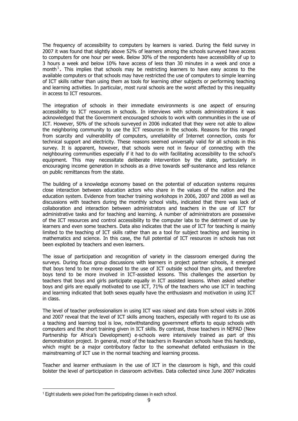The frequency of accessibility to computers by learners is varied. During the field survey in 2007 it was found that slightly above 52% of learners among the schools surveyed have access to computers for one hour per week. Below 30% of the respondents have accessibility of up to 3 hours a week and below 10% have access of less than 30 minutes in a week and once a month<sup>1</sup>. This implies that schools may be restricting learners to have easy access to the available computers or that schools may have restricted the use of computers to simple learning of ICT skills rather than using them as tools for learning other subjects or performing teaching and learning activities. In particular, most rural schools are the worst affected by this inequality in access to ICT resources.

The integration of schools in their immediate environments is one aspect of ensuring accessibility to ICT resources in schools. In interviews with schools administrations it was acknowledged that the Government encouraged schools to work with communities in the use of ICT. However, 50% of the schools surveyed in 2006 indicated that they were not able to allow the neighboring community to use the ICT resources in the schools. Reasons for this ranged from scarcity and vulnerability of computers, unreliability of Internet connection, costs for technical support and electricity. These reasons seemed universally valid for all schools in this survey. It is apparent, however, that schools were not in favour of connecting with the neighbouring communities especially if it had to do with facilitating accessibility to the school"s equipment. This may necessitate deliberate intervention by the state, particularly in encouraging income generation in schools as a drive towards self-sustenance and less reliance on public remittances from the state.

The building of a knowledge economy based on the potential of education systems requires close interaction between education actors who share in the values of the nation and the education system. Evidence from teacher training workshops in 2006, 2007 and 2008 as well as discussions with teachers during the monthly school visits, indicated that there was lack of collaboration and interaction between administrators and teachers in the use of ICT for administrative tasks and for teaching and learning. A number of administrators are possessive of the ICT resources and control accessibility to the computer labs to the detriment of use by learners and even some teachers. Data also indicates that the use of ICT for teaching is mainly limited to the teaching of ICT skills rather than as a tool for subject teaching and learning in mathematics and science. In this case, the full potential of ICT resources in schools has not been exploited by teachers and even learners.

The issue of participation and recognition of variety in the classroom emerged during the surveys. During focus group discussions with learners in project partner schools, it emerged that boys tend to be more exposed to the use of ICT outside school than girls, and therefore boys tend to be more involved in ICT-assisted lessons. This challenges the assertion by teachers that boys and girls participate equally in ICT assisted lessons. When asked whether boys and girls are equally motivated to use ICT, 71% of the teachers who use ICT in teaching and learning indicated that both sexes equally have the enthusiasm and motivation in using ICT in class.

The level of teacher professionalism in using ICT was raised and data from school visits in 2006 and 2007 reveal that the level of ICT skills among teachers, especially with regard to its use as a teaching and learning tool is low, notwithstanding government efforts to equip schools with computers and the short training given in ICT skills. By contrast, those teachers in NEPAD (New Partnership for Africa"s Development) e-schools were intensively trained as part of this demonstration project. In general, most of the teachers in Rwandan schools have this handicap, which might be a major contributory factor to the somewhat deflated enthusiasm in the mainstreaming of ICT use in the normal teaching and learning process.

Teacher and learner enthusiasm in the use of ICT in the classroom is high, and this could bolster the level of participation in classroom activities. Data collected since June 2007 indicates

<sup>-</sup><sup>1</sup> Eight students were picked from the participating classes in each school.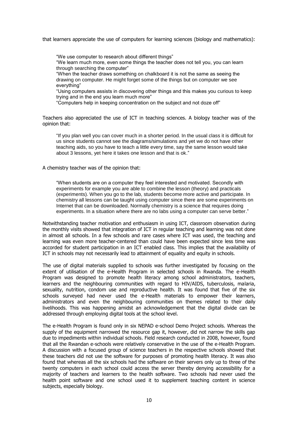that learners appreciate the use of computers for learning sciences (biology and mathematics):

"We use computer to research about different things"

"We learn much more, even some things the teacher does not tell you, you can learn through searching the computer"

"When the teacher draws something on chalkboard it is not the same as seeing the drawing on computer. He might forget some of the things but on computer we see everything"

"Using computers assists in discovering other things and this makes you curious to keep trying and in the end you learn much more"

"Computers help in keeping concentration on the subject and not doze off"

Teachers also appreciated the use of ICT in teaching sciences. A biology teacher was of the opinion that:

"If you plan well you can cover much in a shorter period. In the usual class it is difficult for us since students cannot see the diagrams/simulations and yet we do not have other teaching aids, so you have to teach a little every time, say the same lesson would take about 3 lessons, yet here it takes one lesson and that is ok."

A chemistry teacher was of the opinion that:

"When students are on a computer they feel interested and motivated. Secondly with experiments for example you are able to combine the lesson (theory) and practicals (experiments). When you go to the lab, students become more active and participate. In chemistry all lessons can be taught using computer since there are some experiments on Internet that can be downloaded. Normally chemistry is a science that requires doing experiments. In a situation where there are no labs using a computer can serve better."

Notwithstanding teacher motivation and enthusiasm in using ICT, classroom observation during the monthly visits showed that integration of ICT in regular teaching and learning was not done in almost all schools. In a few schools and rare cases where ICT was used, the teaching and learning was even more teacher-centered than could have been expected since less time was accorded for student participation in an ICT enabled class. This implies that the availability of ICT in schools may not necessarily lead to attainment of equality and equity in schools.

The use of digital materials supplied to schools was further investigated by focusing on the extent of utilisation of the e-Health Program in selected schools in Rwanda. The e-Health Program was designed to promote health literacy among school administrators, teachers, learners and the neighbouring communities with regard to HIV/AIDS, tuberculosis, malaria, sexuality, nutrition, condom use and reproductive health. It was found that five of the six schools surveyed had never used the e-Health materials to empower their learners, administrators and even the neighbouring communities on themes related to their daily livelihoods. This was happening amidst an acknowledgement that the digital divide can be addressed through employing digital tools at the school level.

The e-Health Program is found only in six NEPAD e-school Demo Project schools. Whereas the supply of the equipment narrowed the resource gap it, however, did not narrow the skills gap due to impediments within individual schools. Field research conducted in 2008, however, found that all the Rwandan e-schools were relatively conservative in the use of the e-Health Program. A discussion with a focused group of science teachers in the respective schools showed that these teachers did not use the software for purposes of promoting health literacy. It was also found that whereas all the six schools had the software on their servers only up to three of the twenty computers in each school could access the server thereby denying accessibility for a majority of teachers and learners to the health software. Two schools had never used the health point software and one school used it to supplement teaching content in science subjects, especially biology.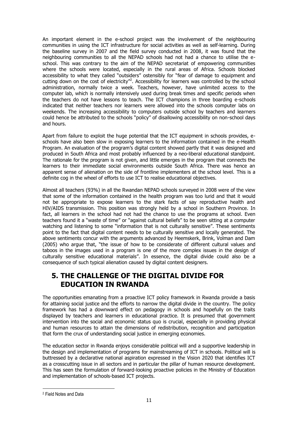An important element in the e-school project was the involvement of the neighbouring communities in using the ICT infrastructure for social activities as well as self-learning. During the baseline survey in 2007 and the field survey conducted in 2008, it was found that the neighbouring communities to all the NEPAD schools had not had a chance to utilise the eschool. This was contrary to the aim of the NEPAD secretariat of empowering communities where the schools were located, especially in the rural areas of Africa. Schools blocked accessibility to what they called "outsiders" ostensibly for "fear of damage to equipment and cutting down on the cost of electricity<sup>"2</sup>. Accessibility for learners was controlled by the school administration, normally twice a week. Teachers, however, have unlimited access to the computer lab, which is normally intensively used during break times and specific periods when the teachers do not have lessons to teach. The ICT champions in three boarding e-schools indicated that neither teachers nor learners were allowed into the schools computer labs on weekends. The increasing accessibility to computers outside school by teachers and learners could hence be attributed to the schools "policy" of disallowing accessibility on non-school days and hours.

Apart from failure to exploit the huge potential that the ICT equipment in schools provides, eschools have also been slow in exposing learners to the information contained in the e-Health Program. An evaluation of the program's digital content showed partly that it was designed and produced in South Africa and most probably influenced by a neo-liberal educational standpoint. The rationale for the program is not given, and little emerges in the program that connects the learners to their immediate social environments outside South Africa. There was hence an apparent sense of alienation on the side of frontline implementers at the school level. This is a definite cog in the wheel of efforts to use ICT to realise educational objectives.

Almost all teachers (93%) in all the Rwandan NEPAD schools surveyed in 2008 were of the view that some of the information contained in the health program was too lurid and that it would not be appropriate to expose learners to the stark facts of say reproductive health and HIV/AIDS transmission. This position was strongly held by a school in Southern Province. In fact, all learners in the school had not had the chance to use the programs at school. Even teachers found it a "waste of time" or "against cultural beliefs" to be seen sitting at a computer watching and listening to some "information that is not culturally sensitive". These sentiments point to the fact that digital content needs to be culturally sensitive and locally generated. The above sentiments concur with the arguments advanced by Heemskerk, Brink, Volman and Dam (2005) who argue that, "the issue of how to be considerate of different cultural values and taboos in the images used in a program is one of the more complex issues in the design of culturally sensitive educational materials". In essence, the digital divide could also be a consequence of such typical alienation caused by digital content designers.

# <span id="page-13-0"></span>**5. THE CHALLENGE OF THE DIGITAL DIVIDE FOR EDUCATION IN RWANDA**

The opportunities emanating from a proactive ICT policy framework in Rwanda provide a basis for attaining social justice and the efforts to narrow the digital divide in the country. The policy framework has had a downward effect on pedagogy in schools and hopefully on the traits displayed by teachers and learners in educational practice. It is presumed that government intervention into the social and economic status quo is crucial, especially in providing physical and human resources to attain the dimensions of redistribution, recognition and participation that form the crux of understanding social justice in emerging economies.

The education sector in Rwanda enjoys considerable political will and a supportive leadership in the design and implementation of programs for mainstreaming of ICT in schools. Political will is buttressed by a declarative national aspiration expressed in the Vision 2020 that identifies ICT as a crosscutting issue in all sectors and in particular the pillar of human resource development. This has seen the formulation of forward-looking proactive policies in the Ministry of Education and implementation of schools-based ICT projects.

-

<sup>2</sup> Field Notes and Data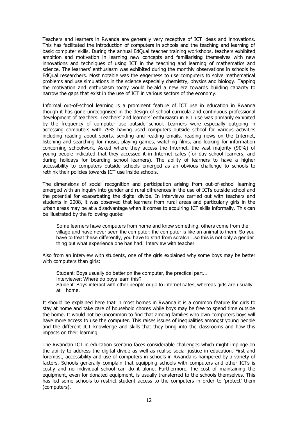Teachers and learners in Rwanda are generally very receptive of ICT ideas and innovations. This has facilitated the introduction of computers in schools and the teaching and learning of basic computer skills. During the annual EdQual teacher training workshops, teachers exhibited ambition and motivation in learning new concepts and familiarising themselves with new innovations and techniques of using ICT in the teaching and learning of mathematics and science. The learners" enthusiasm was exhibited during the monthly observations in schools by EdQual researchers. Most notable was the eagerness to use computers to solve mathematical problems and use simulations in the science especially chemistry, physics and biology. Tapping the motivation and enthusiasm today would herald a new era towards building capacity to narrow the gaps that exist in the use of ICT in various sectors of the economy.

Informal out-of-school learning is a prominent feature of ICT use in education in Rwanda though it has gone unrecognised in the design of school curricula and continuous professional development of teachers. Teachers' and learners' enthusiasm in ICT use was primarily exhibited by the frequency of computer use outside school. Learners were especially outgoing in accessing computers with 79% having used computers outside school for various activities including reading about sports, sending and reading emails, reading news on the Internet, listening and searching for music, playing games, watching films, and looking for information concerning schoolwork. Asked where they access the Internet, the vast majority (90%) of young people indicated that they accessed it in Internet cafes (for day school learners, and during holidays for boarding school learners). The ability of learners to have a higher accessibility to computers outside schools emerged as an obvious challenge to schools to rethink their policies towards ICT use inside schools.

The dimensions of social recognition and participation arising from out-of-school learning emerged with an inquiry into gender and rural differences in the use of ICTs outside school and the potential for exacerbating the digital divide. In interviews carried out with teachers and students in 2008, it was observed that learners from rural areas and particularly girls in the urban areas may be at a disadvantage when it comes to acquiring ICT skills informally. This can be illustrated by the following quote:

Some learners have computers from home and know something, others come from the village and have never seen the computer; the computer is like an animal to them. So you have to treat these differently, you have to start from scratch...so this is not only a gender thing but what experience one has had.' Interview with teacher

Also from an interview with students, one of the girls explained why some boys may be better with computers than girls:

Student: Boys usually do better on the computer, the practical part… Interviewer: Where do boys learn this? Student: Boys interact with other people or go to internet cafes, whereas girls are usually at home.

It should be explained here that in most homes in Rwanda it is a common feature for girls to stay at home and take care of household chores while boys may be free to spend time outside the home. It would not be uncommon to find that among families who own computers boys will have more access to use the computer. This raises issues of inequalities amongst young people and the different ICT knowledge and skills that they bring into the classrooms and how this impacts on their learning.

The Rwandan ICT in education scenario faces considerable challenges which might impinge on the ability to address the digital divide as well as realise social justice in education. First and foremost, accessibility and use of computers in schools in Rwanda is hampered by a variety of factors. Schools generally complain that equipping schools with computers and other ICTs is costly and no individual school can do it alone. Furthermore, the cost of maintaining the equipment, even for donated equipment, is usually transferred to the schools themselves. This has led some schools to restrict student access to the computers in order to "protect" them (computers).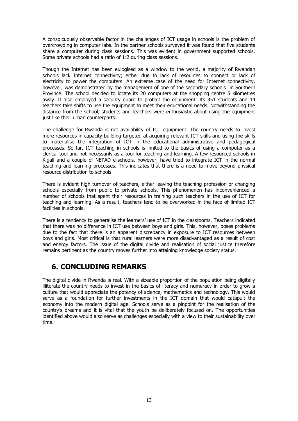A conspicuously observable factor in the challenges of ICT usage in schools is the problem of overcrowding in computer labs. In the partner schools surveyed it was found that five students share a computer during class sessions. This was evident in government supported schools. Some private schools had a ratio of 1:2 during class sessions.

Though the Internet has been eulogised as a window to the world, a majority of Rwandan schools lack Internet connectivity; either due to lack of resources to connect or lack of electricity to power the computers. An extreme case of the need for Internet connectivity, however, was demonstrated by the management of one of the secondary schools in Southern Province. The school decided to locate its 20 computers at the shopping centre 5 kilometres away. It also employed a security guard to protect the equipment. Its 351 students and 14 teachers take shifts to use the equipment to meet their educational needs. Notwithstanding the distance from the school, students and teachers were enthusiastic about using the equipment just like their urban counterparts.

The challenge for Rwanda is not availability of ICT equipment. The country needs to invest more resources in capacity building targeted at acquiring relevant ICT skills and using the skills to materialise the integration of ICT in the educational administrative and pedagogical processes. So far, ICT teaching in schools is limited to the basics of using a computer as a clerical tool and not necessarily as a tool for teaching and learning. A few resourced schools in Kigali and a couple of NEPAD e-schools, however, have tried to integrate ICT in the normal teaching and learning processes. This indicates that there is a need to move beyond physical resource distribution to schools.

There is evident high turnover of teachers, either leaving the teaching profession or changing schools especially from public to private schools. This phenomenon has inconvenienced a number of schools that spent their resources in training such teachers in the use of ICT for teaching and learning. As a result, teachers tend to be overworked in the face of limited ICT facilities in schools.

There is a tendency to generalise the learners" use of ICT in the classrooms. Teachers indicated that there was no difference in ICT use between boys and girls. This, however, poses problems due to the fact that there is an apparent discrepancy in exposure to ICT resources between boys and girls. Most critical is that rural learners were more disadvantaged as a result of cost and energy factors. The issue of the digital divide and realisation of social justice therefore remains pertinent as the country moves further into attaining knowledge society status.

# <span id="page-15-0"></span>**6. CONCLUDING REMARKS**

The digital divide in Rwanda is real. With a sizeable proportion of the population being digitally illiterate the country needs to invest in the basics of literacy and numeracy in order to grow a culture that would appreciate the potency of science, mathematics and technology. This would serve as a foundation for further investments in the ICT domain that would catapult the economy into the modern digital age. Schools serve as a pinpoint for the realisation of the country"s dreams and it is vital that the youth be deliberately focused on. The opportunities identified above would also serve as challenges especially with a view to their sustainability over time.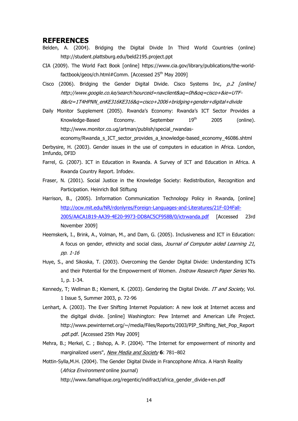#### <span id="page-16-0"></span>**REFERENCES**

- Belden, A. (2004). Bridging the Digital Divide In Third World Countries (online) http://student.plattsburg.edu/beld2195.project.ppt
- CIA (2009). The World Fact Book [online] [https://www.cia.gov/library/publications/the-world](https://www.cia.gov/library/publications/the-world-factbook/geos/ch.html#Comm)[factbook/geos/ch.html#Comm.](https://www.cia.gov/library/publications/the-world-factbook/geos/ch.html#Comm) [Accessed 25<sup>th</sup> May 2009]
- Cisco (2006). Bridging the Gender Digital Divide. Cisco Systems Inc,  $p.2$  [online] http://www.google.co.ke/search?sourceid=navclient&aq=0h&oq=cisco+&ie=UTF-8&rlz=1T4HPNN\_enKE316KE316&q=cisco+2006+bridging+gender+digital+divide
- Daily Monitor Supplement (2005). Rwanda's Economy: Rwanda's ICT Sector Provides a Knowledge-Based Economy. September 19<sup>th</sup> 2005 (online). http://www.monitor.co.ug/artman/publish/special\_rwandas-

economy/Rwanda\_s\_ICT\_sector\_provides\_a\_knowledge-based\_economy\_46086.shtml

Derbysire, H. (2003). Gender issues in the use of computers in education in Africa. London, Imfundo, DFID

- Farrel, G. (2007). ICT in Education in Rwanda. A Survey of ICT and Education in Africa. A Rwanda Country Report. Infodev.
- Fraser, N. (2001). Social Justice in the Knowledge Society: Redistribution, Recognition and Participation. Heinrich Boll Stiftung
- Harrison, B., (2005). Information Communication Technology Policy in Rwanda, [online] [http://ocw.mit.edu/NR/rdonlyres/Foreign-Languages-and-Literatures/21F-034Fall-](http://ocw.mit.edu/NR/rdonlyres/Foreign-Languages-and-Literatures/21F-034Fall-2005/AACA1B19-AA39-4E20-9973-DD8AC5CF958B/0/ictrwanda.pdf)[2005/AACA1B19-AA39-4E20-9973-DD8AC5CF958B/0/ictrwanda.pdf](http://ocw.mit.edu/NR/rdonlyres/Foreign-Languages-and-Literatures/21F-034Fall-2005/AACA1B19-AA39-4E20-9973-DD8AC5CF958B/0/ictrwanda.pdf) [Accessed 23rd November 2009]
- Heemskerk, I., Brink, A., Volman, M., and Dam, G. (2005). Inclusiveness and ICT in Education: A focus on gender, ethnicity and social class, Journal of Computer aided Learning 21, pp. 1-16
- Huye, S., and Sikoska, T. (2003). Overcoming the Gender Digital Divide: Understanding ICTs and their Potential for the Empowerment of Women. Instraw Research Paper Series No. 1, p. 1-34.
- Kennedy, T; Wellman B.; Klement, K. (2003). Gendering the Digital Divide. IT and Society, Vol. 1 Issue 5, Summer 2003, p. 72-96
- Lenhart, A. (2003). The Ever Shifting Internet Population: A new look at Internet access and the digitgal divide. [online] Washington: Pew Internet and American Life Project. [http://www.pewinternet.org/~/media/Files/Reports/2003/PIP\\_Shifting\\_Net\\_Pop\\_Report](http://www.pewinternet.org/~/media/Files/Reports/2003/PIP_Shifting_Net_Pop_Report.pdf.pdf) [.pdf.pdf.](http://www.pewinternet.org/~/media/Files/Reports/2003/PIP_Shifting_Net_Pop_Report.pdf.pdf) [Accessed 25th May 2009]
- [Mehra, B.;](http://en.wikipedia.org/wiki/Bharat_Mehra) [Merkel, C. ;](http://en.wikipedia.org/w/index.php?title=Cecelia_Merkel&action=edit&redlink=1) [Bishop, A. P.](http://en.wikipedia.org/w/index.php?title=Ann_P._Bishop&action=edit&redlink=1) (2004). "The Internet for empowerment of minority and marginalized users", [New Media and Society](http://en.wikipedia.org/w/index.php?title=New_Media_and_Society&action=edit&redlink=1) 6: 781-802
- Mottin-Sylla,M.H. (2004). The Gender Digital Divide in Francophone Africa. A Harsh Reality (*Africa Environment* online journal) [http://www.famafrique.org/regentic/indifract/africa\\_gender\\_divide+en.pdf](http://www.famafrique.org/regentic/indifract/africa_gender_divide+en.pdf)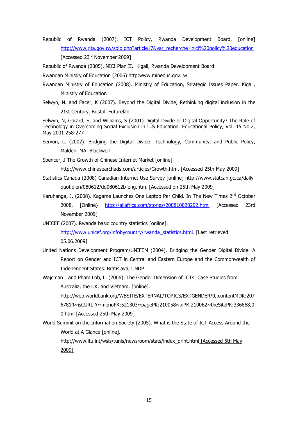Republic of Rwanda (2007). ICT Policy, Rwanda Development Board, [online] [http://www.rita.gov.rw/spip.php?article17&var\\_recherche=nici%20policy%20education](http://www.rita.gov.rw/spip.php?article17&var_recherche=nici%20policy%20education) [Accessed 23<sup>rd</sup> November 2009]

Republic of Rwanda (2005). NICI Plan II. Kigali, Rwanda Development Board

Rwandan Ministry of Education (2006) http:www.mineduc.gov.rw

- Rwandan Ministry of Education (2008). Ministry of Education, Strategic Issues Paper. Kigali, Ministry of Education
- Selwyn, N. and Facer, K (2007). Beyond the Digital Divide, Rethinking digital inclusion in the 21st Century. Bristol. Futurelab

Selwyn, N, Gorard, S, and Williams, S (2001) Digital Divide or Digital Opportunity? The Role of Technology in Overcoming Social Exclusion in U.S Education. Educational Policy, Vol. 15 No.2, May 2001 258-277

[Servon, L.](http://en.wikipedia.org/w/index.php?title=Lisa_Servon&action=edit&redlink=1) (2002). Bridging the Digital Divide: Technology, Community, and Public Policy, Malden, MA: Blackwell

Spencer, J The Growth of Chinese Internet Market [online].

[http://www.chinasearchads.com/articles/Growth.htm.](http://www.chinasearchads.com/articles/Growth.htm) [Accessed 25th May 2009]

- Statistics Canada (2008) Canadian Internet Use Survey [online] [http://www.statcan.gc.ca/daily](http://www.statcan.gc.ca/daily-quotidien/080612/dq080612b-eng.htm)[quotidien/080612/dq080612b-eng.htm.](http://www.statcan.gc.ca/daily-quotidien/080612/dq080612b-eng.htm) [Accessed on 25th May 2009]
- Karuhanga, J. (2008). Kagame Launches One Laptop Per Child. In The New Times 2<sup>nd</sup> October 2008, [Online} <http://allafrica.com/stories/200810020292.html> [Accessed 23rd November 2009]

UNICEF (2007). Rwanda basic country statistics [online].

[http://www.unicef.org/infobycountry/rwanda\\_statistics.html.](http://www.unicef.org/infobycountry/rwanda_statistics.html) [Last retrieved 05.06.2009]

- United Nations Development Program/UNIFEM (2004). Bridging the Gender Digital Divide. A Report on Gender and ICT in Central and Eastern Europe and the Commonwealth of Independent States. Bratislava, UNDP
- Wajcman J and Pham Lob, L. (2006). The Gender Dimension of ICTs: Case Studies from Australia, the UK, and Vietnam, [online].

[http://web.worldbank.org/WBSITE/EXTERNAL/TOPICS/EXTGENDER/0,,contentMDK:207](http://web.worldbank.org/WBSITE/EXTERNAL/TOPICS/EXTGENDER/0,,contentMDK:20767814~isCURL:Y~menuPK:521303~pagePK:210058~piPK:210062~theSitePK:336868,00.html) [67814~isCURL:Y~menuPK:521303~pagePK:210058~piPK:210062~theSitePK:336868,0](http://web.worldbank.org/WBSITE/EXTERNAL/TOPICS/EXTGENDER/0,,contentMDK:20767814~isCURL:Y~menuPK:521303~pagePK:210058~piPK:210062~theSitePK:336868,00.html) [0.html](http://web.worldbank.org/WBSITE/EXTERNAL/TOPICS/EXTGENDER/0,,contentMDK:20767814~isCURL:Y~menuPK:521303~pagePK:210058~piPK:210062~theSitePK:336868,00.html) [Accessed 25th May 2009]

World Summit on the Information Society (2005). What is the State of ICT Access Around the World at A Glance [online].

[http://www.itu.int/wsis/tunis/newsroom/stats/index\\_print.html](http://www.itu.int/wsis/tunis/newsroom/stats/index_print.html) [Accessed 5th May 2009]